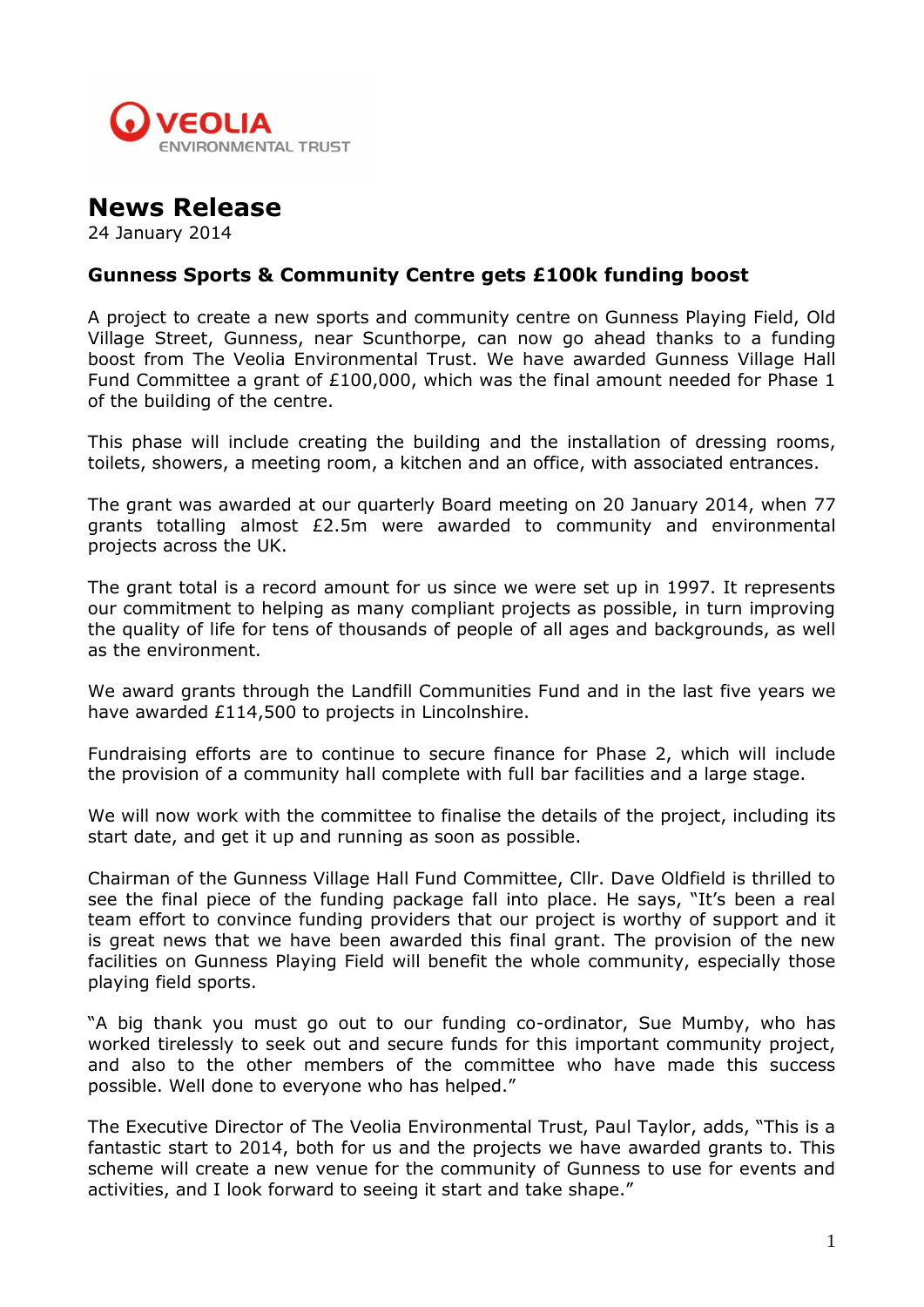

## **News Release**

24 January 2014

## **Gunness Sports & Community Centre gets £100k funding boost**

A project to create a new sports and community centre on Gunness Playing Field, Old Village Street, Gunness, near Scunthorpe, can now go ahead thanks to a funding boost from The Veolia Environmental Trust. We have awarded Gunness Village Hall Fund Committee a grant of £100,000, which was the final amount needed for Phase 1 of the building of the centre.

This phase will include creating the building and the installation of dressing rooms, toilets, showers, a meeting room, a kitchen and an office, with associated entrances.

The grant was awarded at our quarterly Board meeting on 20 January 2014, when 77 grants totalling almost £2.5m were awarded to community and environmental projects across the UK.

The grant total is a record amount for us since we were set up in 1997. It represents our commitment to helping as many compliant projects as possible, in turn improving the quality of life for tens of thousands of people of all ages and backgrounds, as well as the environment.

We award grants through the Landfill Communities Fund and in the last five years we have awarded £114,500 to projects in Lincolnshire.

Fundraising efforts are to continue to secure finance for Phase 2, which will include the provision of a community hall complete with full bar facilities and a large stage.

We will now work with the committee to finalise the details of the project, including its start date, and get it up and running as soon as possible.

Chairman of the Gunness Village Hall Fund Committee, Cllr. Dave Oldfield is thrilled to see the final piece of the funding package fall into place. He says, "It's been a real team effort to convince funding providers that our project is worthy of support and it is great news that we have been awarded this final grant. The provision of the new facilities on Gunness Playing Field will benefit the whole community, especially those playing field sports.

"A big thank you must go out to our funding co-ordinator, Sue Mumby, who has worked tirelessly to seek out and secure funds for this important community project, and also to the other members of the committee who have made this success possible. Well done to everyone who has helped."

The Executive Director of The Veolia Environmental Trust, Paul Taylor, adds, "This is a fantastic start to 2014, both for us and the projects we have awarded grants to. This scheme will create a new venue for the community of Gunness to use for events and activities, and I look forward to seeing it start and take shape."